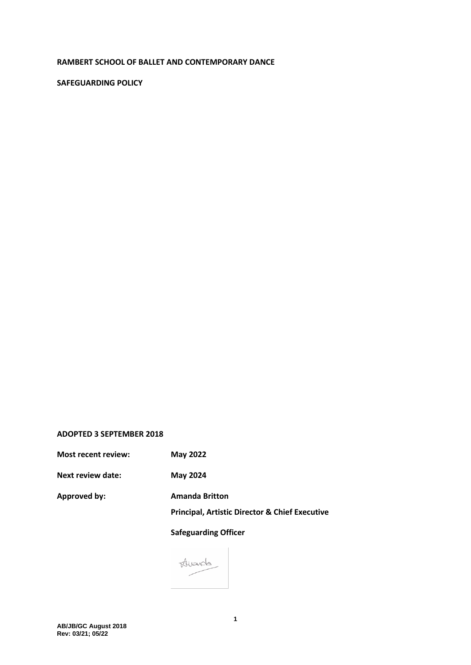#### **RAMBERT SCHOOL OF BALLET AND CONTEMPORARY DANCE**

## **SAFEGUARDING POLICY**

#### **ADOPTED 3 SEPTEMBER 2018**

**Most recent review: May 2022**

**Next review date: May 2024**

**Approved by: Amanda Britton**

**Principal, Artistic Director & Chief Executive**

**Safeguarding Officer** 

Alvards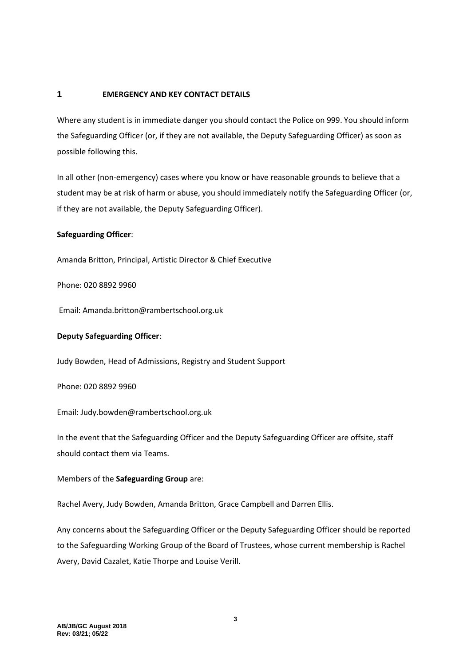# **1 EMERGENCY AND KEY CONTACT DETAILS**

Where any student is in immediate danger you should contact the Police on 999. You should inform the Safeguarding Officer (or, if they are not available, the Deputy Safeguarding Officer) as soon as possible following this.

In all other (non-emergency) cases where you know or have reasonable grounds to believe that a student may be at risk of harm or abuse, you should immediately notify the Safeguarding Officer (or, if they are not available, the Deputy Safeguarding Officer).

# **Safeguarding Officer**:

Amanda Britton, Principal, Artistic Director & Chief Executive

Phone: 020 8892 9960

Email: Amanda.britton@rambertschool.org.uk

## **Deputy Safeguarding Officer**:

Judy Bowden, Head of Admissions, Registry and Student Support

Phone: 020 8892 9960

Email: Judy.bowden@rambertschool.org.uk

In the event that the Safeguarding Officer and the Deputy Safeguarding Officer are offsite, staff should contact them via Teams.

## Members of the **Safeguarding Group** are:

Rachel Avery, Judy Bowden, Amanda Britton, Grace Campbell and Darren Ellis.

Any concerns about the Safeguarding Officer or the Deputy Safeguarding Officer should be reported to the Safeguarding Working Group of the Board of Trustees, whose current membership is Rachel Avery, David Cazalet, Katie Thorpe and Louise Verill.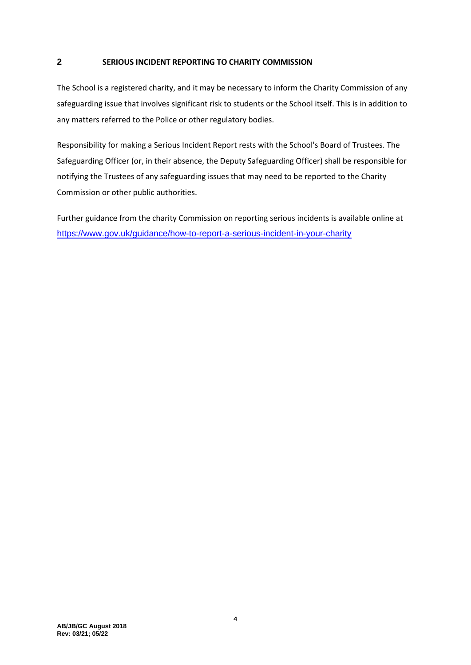# <span id="page-3-0"></span>**2 SERIOUS INCIDENT REPORTING TO CHARITY COMMISSION**

The School is a registered charity, and it may be necessary to inform the Charity Commission of any safeguarding issue that involves significant risk to students or the School itself. This is in addition to any matters referred to the Police or other regulatory bodies.

Responsibility for making a Serious Incident Report rests with the School's Board of Trustees. The Safeguarding Officer (or, in their absence, the Deputy Safeguarding Officer) shall be responsible for notifying the Trustees of any safeguarding issues that may need to be reported to the Charity Commission or other public authorities.

Further guidance from the charity Commission on reporting serious incidents is available online at <https://www.gov.uk/guidance/how-to-report-a-serious-incident-in-your-charity>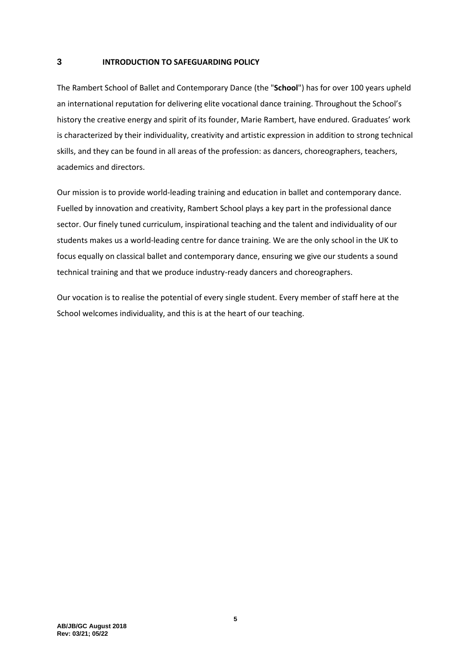# **3 INTRODUCTION TO SAFEGUARDING POLICY**

The Rambert School of Ballet and Contemporary Dance (the "**School**") has for over 100 years upheld an international reputation for delivering elite vocational dance training. Throughout the School's history the creative energy and spirit of its founder, Marie Rambert, have endured. Graduates' work is characterized by their individuality, creativity and artistic expression in addition to strong technical skills, and they can be found in all areas of the profession: as dancers, choreographers, teachers, academics and directors.

Our mission is to provide world-leading training and education in ballet and contemporary dance. Fuelled by innovation and creativity, Rambert School plays a key part in the professional dance sector. Our finely tuned curriculum, inspirational teaching and the talent and individuality of our students makes us a world-leading centre for dance training. We are the only school in the UK to focus equally on classical ballet and contemporary dance, ensuring we give our students a sound technical training and that we produce industry-ready dancers and choreographers.

Our vocation is to realise the potential of every single student. Every member of staff here at the School welcomes individuality, and this is at the heart of our teaching.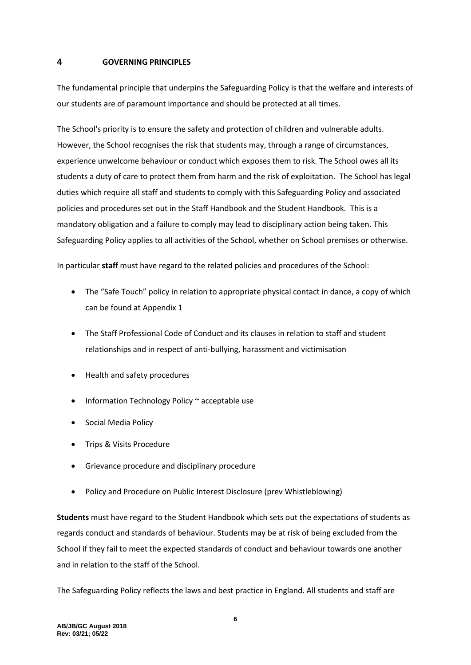#### **4 GOVERNING PRINCIPLES**

The fundamental principle that underpins the Safeguarding Policy is that the welfare and interests of our students are of paramount importance and should be protected at all times.

The School's priority is to ensure the safety and protection of children and vulnerable adults. However, the School recognises the risk that students may, through a range of circumstances, experience unwelcome behaviour or conduct which exposes them to risk. The School owes all its students a duty of care to protect them from harm and the risk of exploitation. The School has legal duties which require all staff and students to comply with this Safeguarding Policy and associated policies and procedures set out in the Staff Handbook and the Student Handbook. This is a mandatory obligation and a failure to comply may lead to disciplinary action being taken. This Safeguarding Policy applies to all activities of the School, whether on School premises or otherwise.

In particular **staff** must have regard to the related policies and procedures of the School:

- The "Safe Touch" policy in relation to appropriate physical contact in dance, a copy of which can be found at Appendix [1](#page-18-0)
- The Staff Professional Code of Conduct and its clauses in relation to staff and student relationships and in respect of anti-bullying, harassment and victimisation
- Health and safety procedures
- Information Technology Policy ~ acceptable use
- Social Media Policy
- Trips & Visits Procedure
- Grievance procedure and disciplinary procedure
- Policy and Procedure on Public Interest Disclosure (prev Whistleblowing)

**Students** must have regard to the Student Handbook which sets out the expectations of students as regards conduct and standards of behaviour. Students may be at risk of being excluded from the School if they fail to meet the expected standards of conduct and behaviour towards one another and in relation to the staff of the School.

The Safeguarding Policy reflects the laws and best practice in England. All students and staff are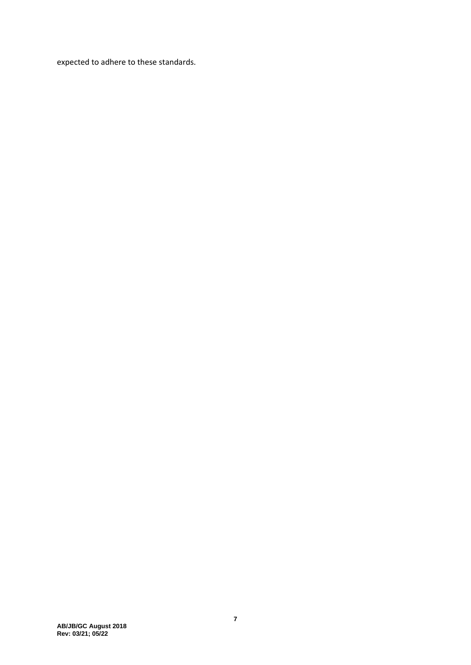expected to adhere to these standards.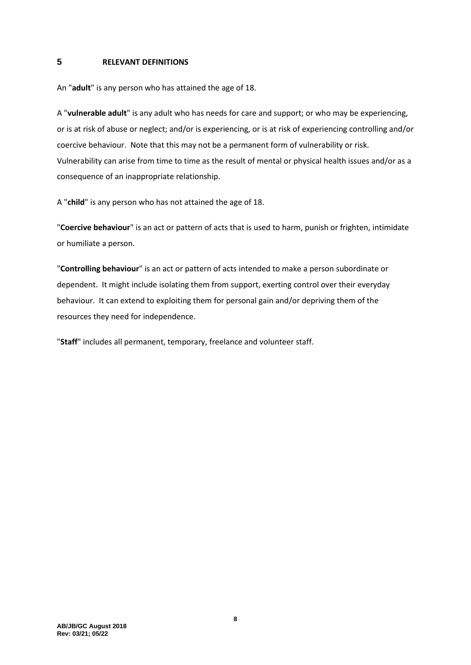## **5 RELEVANT DEFINITIONS**

An "**adult**" is any person who has attained the age of 18.

A "**vulnerable adult**" is any adult who has needs for care and support; or who may be experiencing, or is at risk of abuse or neglect; and/or is experiencing, or is at risk of experiencing controlling and/or coercive behaviour. Note that this may not be a permanent form of vulnerability or risk. Vulnerability can arise from time to time as the result of mental or physical health issues and/or as a consequence of an inappropriate relationship.

A "**child**" is any person who has not attained the age of 18.

"**Coercive behaviour**" is an act or pattern of acts that is used to harm, punish or frighten, intimidate or humiliate a person.

"**Controlling behaviour**" is an act or pattern of acts intended to make a person subordinate or dependent. It might include isolating them from support, exerting control over their everyday behaviour. It can extend to exploiting them for personal gain and/or depriving them of the resources they need for independence.

"**Staff**" includes all permanent, temporary, freelance and volunteer staff.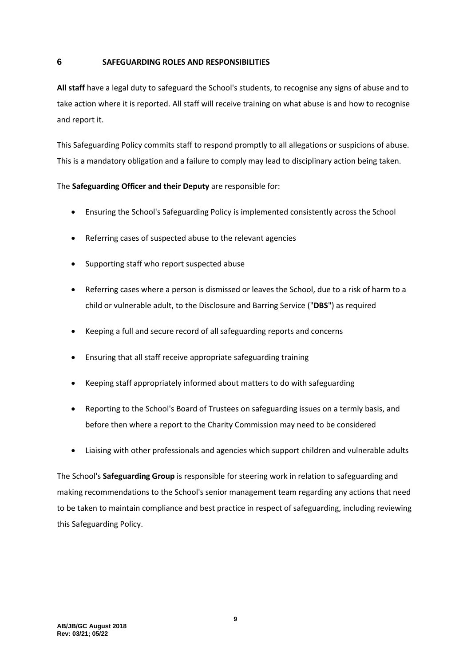### **6 SAFEGUARDING ROLES AND RESPONSIBILITIES**

**All staff** have a legal duty to safeguard the School's students, to recognise any signs of abuse and to take action where it is reported. All staff will receive training on what abuse is and how to recognise and report it.

This Safeguarding Policy commits staff to respond promptly to all allegations or suspicions of abuse. This is a mandatory obligation and a failure to comply may lead to disciplinary action being taken.

# The **Safeguarding Officer and their Deputy** are responsible for:

- Ensuring the School's Safeguarding Policy is implemented consistently across the School
- Referring cases of suspected abuse to the relevant agencies
- Supporting staff who report suspected abuse
- Referring cases where a person is dismissed or leaves the School, due to a risk of harm to a child or vulnerable adult, to the Disclosure and Barring Service ("**DBS**") as required
- Keeping a full and secure record of all safeguarding reports and concerns
- Ensuring that all staff receive appropriate safeguarding training
- Keeping staff appropriately informed about matters to do with safeguarding
- Reporting to the School's Board of Trustees on safeguarding issues on a termly basis, and before then where a report to the Charity Commission may need to be considered
- Liaising with other professionals and agencies which support children and vulnerable adults

The School's **Safeguarding Group** is responsible for steering work in relation to safeguarding and making recommendations to the School's senior management team regarding any actions that need to be taken to maintain compliance and best practice in respect of safeguarding, including reviewing this Safeguarding Policy.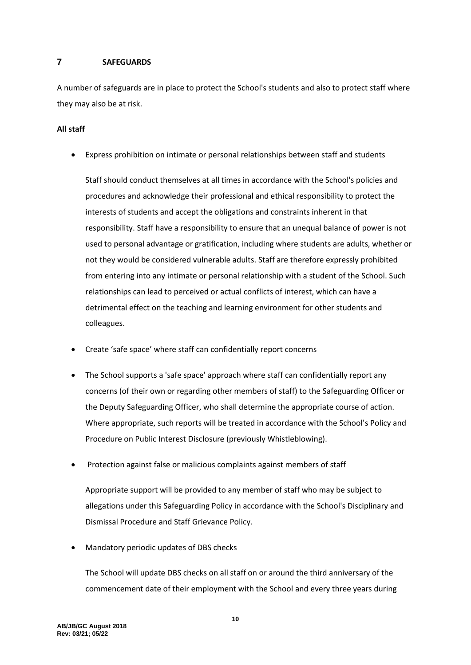# **7 SAFEGUARDS**

A number of safeguards are in place to protect the School's students and also to protect staff where they may also be at risk.

# **All staff**

• Express prohibition on intimate or personal relationships between staff and students

Staff should conduct themselves at all times in accordance with the School's policies and procedures and acknowledge their professional and ethical responsibility to protect the interests of students and accept the obligations and constraints inherent in that responsibility. Staff have a responsibility to ensure that an unequal balance of power is not used to personal advantage or gratification, including where students are adults, whether or not they would be considered vulnerable adults. Staff are therefore expressly prohibited from entering into any intimate or personal relationship with a student of the School. Such relationships can lead to perceived or actual conflicts of interest, which can have a detrimental effect on the teaching and learning environment for other students and colleagues.

- Create 'safe space' where staff can confidentially report concerns
- The School supports a 'safe space' approach where staff can confidentially report any concerns (of their own or regarding other members of staff) to the Safeguarding Officer or the Deputy Safeguarding Officer, who shall determine the appropriate course of action. Where appropriate, such reports will be treated in accordance with the School's Policy and Procedure on Public Interest Disclosure (previously Whistleblowing).
- Protection against false or malicious complaints against members of staff

Appropriate support will be provided to any member of staff who may be subject to allegations under this Safeguarding Policy in accordance with the School's Disciplinary and Dismissal Procedure and Staff Grievance Policy.

• Mandatory periodic updates of DBS checks

The School will update DBS checks on all staff on or around the third anniversary of the commencement date of their employment with the School and every three years during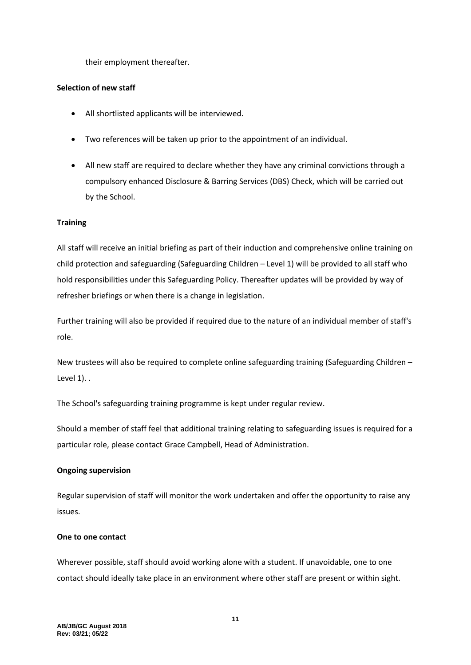their employment thereafter.

#### **Selection of new staff**

- All shortlisted applicants will be interviewed.
- Two references will be taken up prior to the appointment of an individual.
- All new staff are required to declare whether they have any criminal convictions through a compulsory enhanced Disclosure & Barring Services (DBS) Check, which will be carried out by the School.

#### **Training**

All staff will receive an initial briefing as part of their induction and comprehensive online training on child protection and safeguarding (Safeguarding Children – Level 1) will be provided to all staff who hold responsibilities under this Safeguarding Policy. Thereafter updates will be provided by way of refresher briefings or when there is a change in legislation.

Further training will also be provided if required due to the nature of an individual member of staff's role.

New trustees will also be required to complete online safeguarding training (Safeguarding Children – Level 1). .

The School's safeguarding training programme is kept under regular review.

Should a member of staff feel that additional training relating to safeguarding issues is required for a particular role, please contact Grace Campbell, Head of Administration.

## **Ongoing supervision**

Regular supervision of staff will monitor the work undertaken and offer the opportunity to raise any issues.

#### **One to one contact**

Wherever possible, staff should avoid working alone with a student. If unavoidable, one to one contact should ideally take place in an environment where other staff are present or within sight.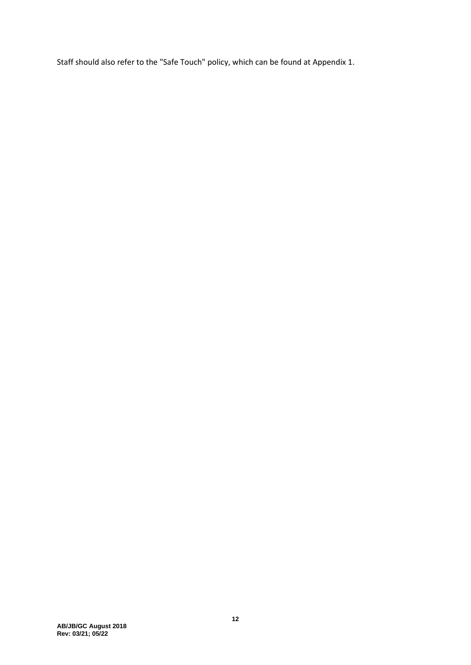Staff should also refer to the "Safe Touch" policy, which can be found at Appendix [1.](#page-18-0)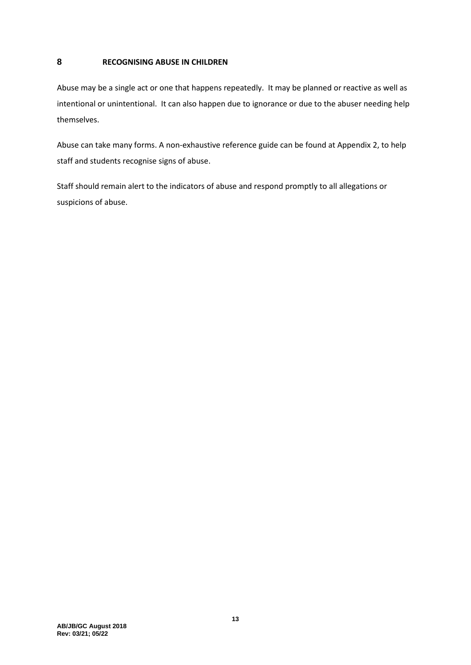# **8 RECOGNISING ABUSE IN CHILDREN**

Abuse may be a single act or one that happens repeatedly. It may be planned or reactive as well as intentional or unintentional. It can also happen due to ignorance or due to the abuser needing help themselves.

Abuse can take many forms. A non-exhaustive reference guide can be found at Appendix 2, to help staff and students recognise signs of abuse.

Staff should remain alert to the indicators of abuse and respond promptly to all allegations or suspicions of abuse.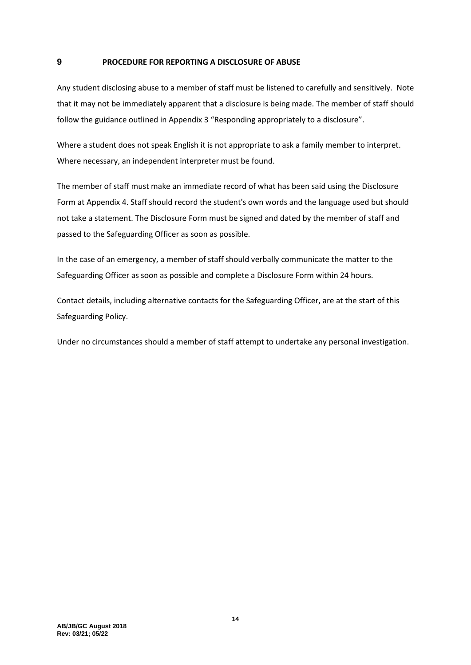#### <span id="page-13-0"></span>**9 PROCEDURE FOR REPORTING A DISCLOSURE OF ABUSE**

Any student disclosing abuse to a member of staff must be listened to carefully and sensitively. Note that it may not be immediately apparent that a disclosure is being made. The member of staff should follow the guidance outlined in Appendix [3](#page-22-0) "Responding appropriately to a disclosure".

Where a student does not speak English it is not appropriate to ask a family member to interpret. Where necessary, an independent interpreter must be found.

The member of staff must make an immediate record of what has been said using the Disclosure Form at Appendix [4.](#page-23-0) Staff should record the student's own words and the language used but should not take a statement. The Disclosure Form must be signed and dated by the member of staff and passed to the Safeguarding Officer as soon as possible.

In the case of an emergency, a member of staff should verbally communicate the matter to the Safeguarding Officer as soon as possible and complete a Disclosure Form within 24 hours.

Contact details, including alternative contacts for the Safeguarding Officer, are at the start of this Safeguarding Policy.

Under no circumstances should a member of staff attempt to undertake any personal investigation.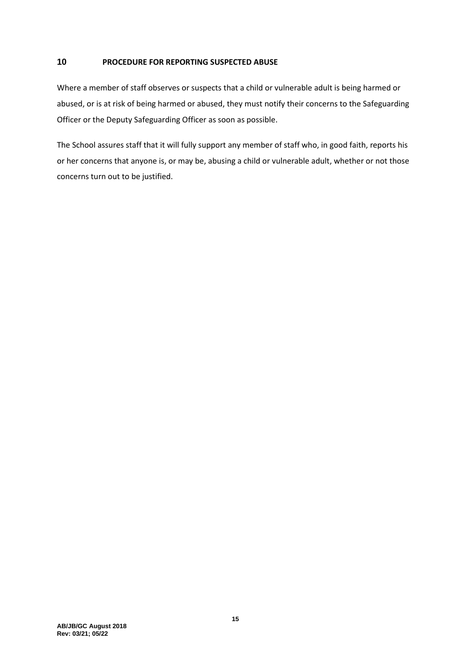# **10 PROCEDURE FOR REPORTING SUSPECTED ABUSE**

Where a member of staff observes or suspects that a child or vulnerable adult is being harmed or abused, or is at risk of being harmed or abused, they must notify their concerns to the Safeguarding Officer or the Deputy Safeguarding Officer as soon as possible.

The School assures staff that it will fully support any member of staff who, in good faith, reports his or her concerns that anyone is, or may be, abusing a child or vulnerable adult, whether or not those concerns turn out to be justified.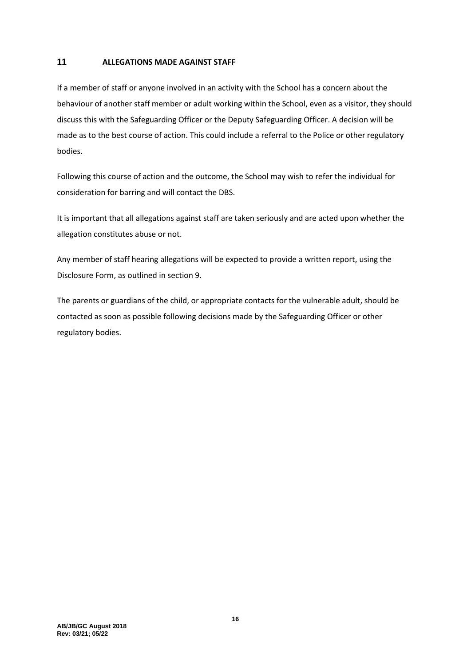# **11 ALLEGATIONS MADE AGAINST STAFF**

If a member of staff or anyone involved in an activity with the School has a concern about the behaviour of another staff member or adult working within the School, even as a visitor, they should discuss this with the Safeguarding Officer or the Deputy Safeguarding Officer. A decision will be made as to the best course of action. This could include a referral to the Police or other regulatory bodies.

Following this course of action and the outcome, the School may wish to refer the individual for consideration for barring and will contact the DBS.

It is important that all allegations against staff are taken seriously and are acted upon whether the allegation constitutes abuse or not.

Any member of staff hearing allegations will be expected to provide a written report, using the Disclosure Form, as outlined in sectio[n 9.](#page-13-0)

The parents or guardians of the child, or appropriate contacts for the vulnerable adult, should be contacted as soon as possible following decisions made by the Safeguarding Officer or other regulatory bodies.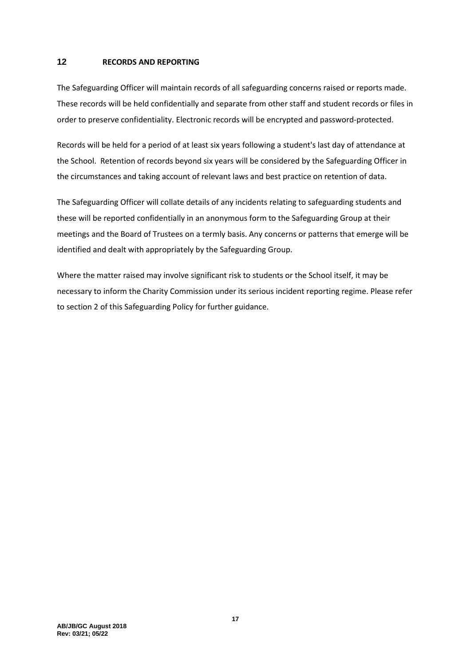#### **12 RECORDS AND REPORTING**

The Safeguarding Officer will maintain records of all safeguarding concerns raised or reports made. These records will be held confidentially and separate from other staff and student records or files in order to preserve confidentiality. Electronic records will be encrypted and password-protected.

Records will be held for a period of at least six years following a student's last day of attendance at the School. Retention of records beyond six years will be considered by the Safeguarding Officer in the circumstances and taking account of relevant laws and best practice on retention of data.

The Safeguarding Officer will collate details of any incidents relating to safeguarding students and these will be reported confidentially in an anonymous form to the Safeguarding Group at their meetings and the Board of Trustees on a termly basis. Any concerns or patterns that emerge will be identified and dealt with appropriately by the Safeguarding Group.

Where the matter raised may involve significant risk to students or the School itself, it may be necessary to inform the Charity Commission under its serious incident reporting regime. Please refer to sectio[n 2](#page-3-0) of this Safeguarding Policy for further guidance.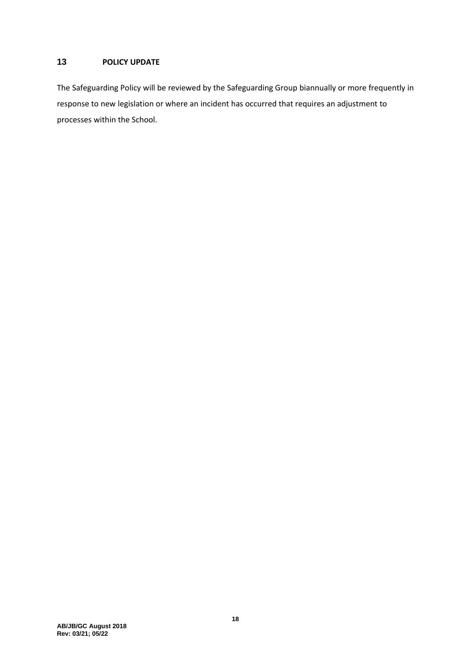# **13 POLICY UPDATE**

The Safeguarding Policy will be reviewed by the Safeguarding Group biannually or more frequently in response to new legislation or where an incident has occurred that requires an adjustment to processes within the School.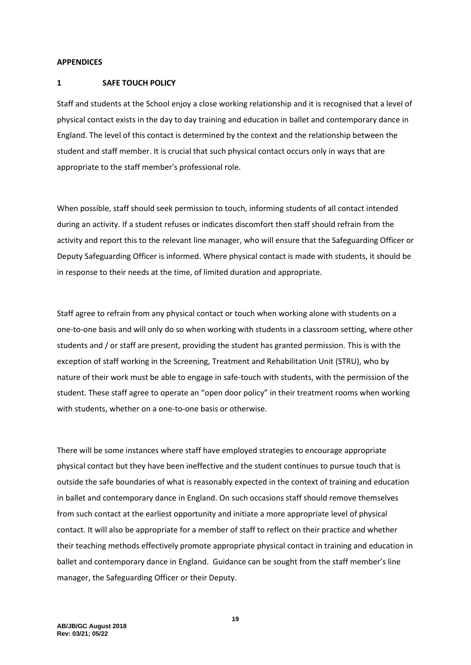#### **APPENDICES**

#### <span id="page-18-0"></span>**1 SAFE TOUCH POLICY**

Staff and students at the School enjoy a close working relationship and it is recognised that a level of physical contact exists in the day to day training and education in ballet and contemporary dance in England. The level of this contact is determined by the context and the relationship between the student and staff member. It is crucial that such physical contact occurs only in ways that are appropriate to the staff member's professional role.

When possible, staff should seek permission to touch, informing students of all contact intended during an activity. If a student refuses or indicates discomfort then staff should refrain from the activity and report this to the relevant line manager, who will ensure that the Safeguarding Officer or Deputy Safeguarding Officer is informed. Where physical contact is made with students, it should be in response to their needs at the time, of limited duration and appropriate.

Staff agree to refrain from any physical contact or touch when working alone with students on a one-to-one basis and will only do so when working with students in a classroom setting, where other students and / or staff are present, providing the student has granted permission. This is with the exception of staff working in the Screening, Treatment and Rehabilitation Unit (STRU), who by nature of their work must be able to engage in safe-touch with students, with the permission of the student. These staff agree to operate an "open door policy" in their treatment rooms when working with students, whether on a one-to-one basis or otherwise.

There will be some instances where staff have employed strategies to encourage appropriate physical contact but they have been ineffective and the student continues to pursue touch that is outside the safe boundaries of what is reasonably expected in the context of training and education in ballet and contemporary dance in England. On such occasions staff should remove themselves from such contact at the earliest opportunity and initiate a more appropriate level of physical contact. It will also be appropriate for a member of staff to reflect on their practice and whether their teaching methods effectively promote appropriate physical contact in training and education in ballet and contemporary dance in England. Guidance can be sought from the staff member's line manager, the Safeguarding Officer or their Deputy.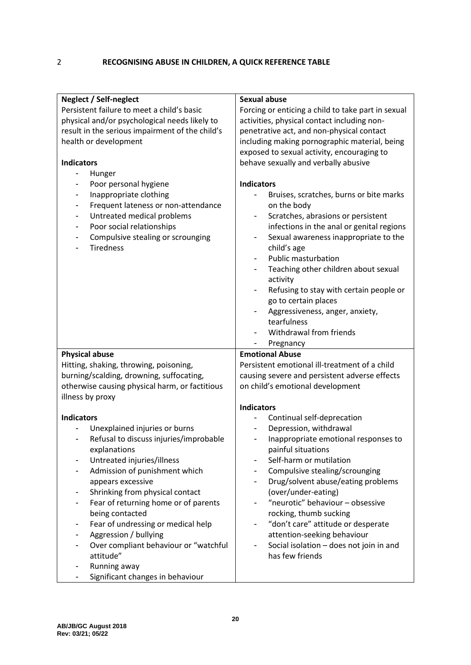# 2 **RECOGNISING ABUSE IN CHILDREN, A QUICK REFERENCE TABLE**

| Neglect / Self-neglect                                                                              | Sexual abuse                                                                                                               |
|-----------------------------------------------------------------------------------------------------|----------------------------------------------------------------------------------------------------------------------------|
| Persistent failure to meet a child's basic                                                          | Forcing or enticing a child to take part in sexual                                                                         |
| physical and/or psychological needs likely to                                                       | activities, physical contact including non-                                                                                |
| result in the serious impairment of the child's                                                     | penetrative act, and non-physical contact                                                                                  |
| health or development                                                                               | including making pornographic material, being                                                                              |
|                                                                                                     | exposed to sexual activity, encouraging to                                                                                 |
| <b>Indicators</b>                                                                                   | behave sexually and verbally abusive                                                                                       |
| Hunger                                                                                              |                                                                                                                            |
| Poor personal hygiene<br>-                                                                          | <b>Indicators</b>                                                                                                          |
| Inappropriate clothing<br>$\qquad \qquad \blacksquare$                                              | Bruises, scratches, burns or bite marks                                                                                    |
| Frequent lateness or non-attendance<br>$\overline{\phantom{a}}$                                     | on the body                                                                                                                |
| Untreated medical problems<br>$\qquad \qquad \blacksquare$                                          | Scratches, abrasions or persistent<br>$\overline{\phantom{a}}$                                                             |
| Poor social relationships<br>$\overline{\phantom{a}}$                                               | infections in the anal or genital regions                                                                                  |
| Compulsive stealing or scrounging<br>$\overline{\phantom{0}}$<br><b>Tiredness</b>                   | Sexual awareness inappropriate to the<br>child's age                                                                       |
|                                                                                                     | <b>Public masturbation</b><br>$\blacksquare$                                                                               |
|                                                                                                     | Teaching other children about sexual                                                                                       |
|                                                                                                     | activity                                                                                                                   |
|                                                                                                     | Refusing to stay with certain people or                                                                                    |
|                                                                                                     | go to certain places                                                                                                       |
|                                                                                                     | Aggressiveness, anger, anxiety,                                                                                            |
|                                                                                                     | tearfulness                                                                                                                |
|                                                                                                     | Withdrawal from friends                                                                                                    |
|                                                                                                     | Pregnancy                                                                                                                  |
| <b>Physical abuse</b>                                                                               | <b>Emotional Abuse</b>                                                                                                     |
| Hitting, shaking, throwing, poisoning,                                                              | Persistent emotional ill-treatment of a child                                                                              |
| burning/scalding, drowning, suffocating,                                                            | causing severe and persistent adverse effects                                                                              |
| otherwise causing physical harm, or factitious                                                      | on child's emotional development                                                                                           |
| illness by proxy                                                                                    |                                                                                                                            |
|                                                                                                     | <b>Indicators</b>                                                                                                          |
| <b>Indicators</b>                                                                                   | Continual self-deprecation                                                                                                 |
| Unexplained injuries or burns<br>Refusal to discuss injuries/improbable<br>$\overline{\phantom{a}}$ | Depression, withdrawal<br>$\qquad \qquad \blacksquare$<br>Inappropriate emotional responses to<br>$\overline{\phantom{a}}$ |
| explanations                                                                                        | painful situations                                                                                                         |
| Untreated injuries/illness                                                                          | Self-harm or mutilation                                                                                                    |
| Admission of punishment which                                                                       | Compulsive stealing/scrounging                                                                                             |
| appears excessive                                                                                   | Drug/solvent abuse/eating problems                                                                                         |
| Shrinking from physical contact<br>-                                                                | (over/under-eating)                                                                                                        |
| Fear of returning home or of parents<br>$\overline{\phantom{0}}$                                    | "neurotic" behaviour - obsessive                                                                                           |
| being contacted                                                                                     | rocking, thumb sucking                                                                                                     |
| Fear of undressing or medical help<br>$\overline{\phantom{0}}$                                      | "don't care" attitude or desperate<br>$\qquad \qquad \blacksquare$                                                         |
| Aggression / bullying<br>$\overline{\phantom{a}}$                                                   | attention-seeking behaviour                                                                                                |
| Over compliant behaviour or "watchful<br>-                                                          | Social isolation - does not join in and                                                                                    |
| attitude"                                                                                           | has few friends                                                                                                            |
| Running away                                                                                        |                                                                                                                            |
| Significant changes in behaviour<br>-                                                               |                                                                                                                            |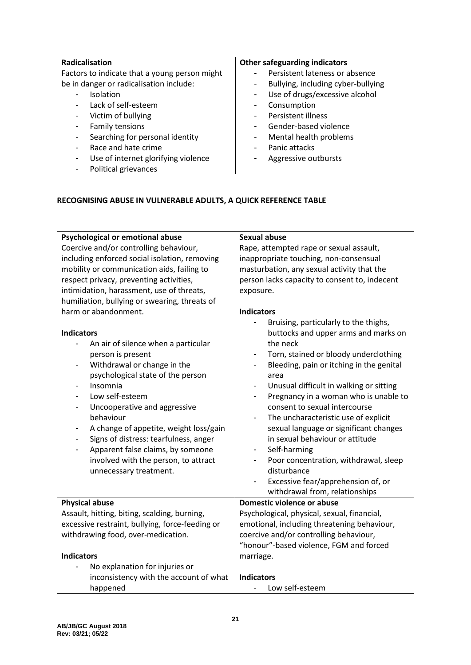| Radicalisation                                | <b>Other safeguarding indicators</b>                       |
|-----------------------------------------------|------------------------------------------------------------|
| Factors to indicate that a young person might | Persistent lateness or absence<br>$\overline{\phantom{a}}$ |
| be in danger or radicalisation include:       | Bullying, including cyber-bullying<br>-                    |
| <b>Isolation</b>                              | Use of drugs/excessive alcohol<br>-                        |
| Lack of self-esteem                           | Consumption<br>-                                           |
| Victim of bullying<br>-                       | Persistent illness<br>۰.                                   |
| Family tensions<br>٠                          | Gender-based violence<br>$\blacksquare$                    |
| Searching for personal identity               | Mental health problems<br>-                                |
| Race and hate crime                           | Panic attacks<br>$\overline{\phantom{a}}$                  |
| Use of internet glorifying violence<br>٠      | Aggressive outbursts                                       |
| Political grievances                          |                                                            |

# **RECOGNISING ABUSE IN VULNERABLE ADULTS, A QUICK REFERENCE TABLE**

| Psychological or emotional abuse                | <b>Sexual abuse</b>                                                  |  |  |  |
|-------------------------------------------------|----------------------------------------------------------------------|--|--|--|
| Coercive and/or controlling behaviour,          | Rape, attempted rape or sexual assault,                              |  |  |  |
| including enforced social isolation, removing   | inappropriate touching, non-consensual                               |  |  |  |
| mobility or communication aids, failing to      | masturbation, any sexual activity that the                           |  |  |  |
| respect privacy, preventing activities,         | person lacks capacity to consent to, indecent                        |  |  |  |
| intimidation, harassment, use of threats,       | exposure.                                                            |  |  |  |
| humiliation, bullying or swearing, threats of   |                                                                      |  |  |  |
| harm or abandonment.                            | <b>Indicators</b>                                                    |  |  |  |
|                                                 | Bruising, particularly to the thighs,                                |  |  |  |
| <b>Indicators</b>                               | buttocks and upper arms and marks on                                 |  |  |  |
| An air of silence when a particular             | the neck                                                             |  |  |  |
| person is present                               | Torn, stained or bloody underclothing                                |  |  |  |
| Withdrawal or change in the                     | Bleeding, pain or itching in the genital<br>$\overline{\phantom{a}}$ |  |  |  |
| psychological state of the person               | area                                                                 |  |  |  |
| Insomnia                                        | Unusual difficult in walking or sitting<br>$\overline{\phantom{a}}$  |  |  |  |
| Low self-esteem                                 | Pregnancy in a woman who is unable to                                |  |  |  |
| Uncooperative and aggressive                    | consent to sexual intercourse                                        |  |  |  |
| behaviour                                       | The uncharacteristic use of explicit                                 |  |  |  |
| A change of appetite, weight loss/gain          | sexual language or significant changes                               |  |  |  |
| Signs of distress: tearfulness, anger           | in sexual behaviour or attitude                                      |  |  |  |
| Apparent false claims, by someone<br>-          | Self-harming<br>$\overline{\phantom{a}}$                             |  |  |  |
| involved with the person, to attract            | Poor concentration, withdrawal, sleep                                |  |  |  |
| unnecessary treatment.                          | disturbance                                                          |  |  |  |
|                                                 | Excessive fear/apprehension of, or                                   |  |  |  |
|                                                 | withdrawal from, relationships                                       |  |  |  |
| <b>Physical abuse</b>                           | Domestic violence or abuse                                           |  |  |  |
| Assault, hitting, biting, scalding, burning,    | Psychological, physical, sexual, financial,                          |  |  |  |
| excessive restraint, bullying, force-feeding or | emotional, including threatening behaviour,                          |  |  |  |
| withdrawing food, over-medication.              | coercive and/or controlling behaviour,                               |  |  |  |
|                                                 | "honour"-based violence, FGM and forced                              |  |  |  |
| <b>Indicators</b>                               | marriage.                                                            |  |  |  |
| No explanation for injuries or                  |                                                                      |  |  |  |
| inconsistency with the account of what          | <b>Indicators</b>                                                    |  |  |  |
| happened                                        | Low self-esteem                                                      |  |  |  |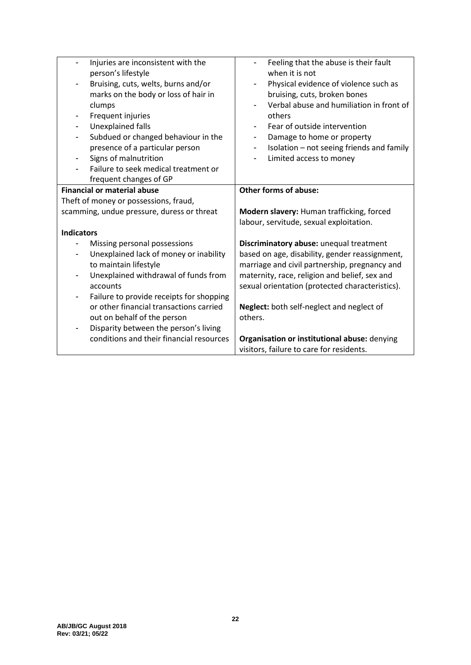| Injuries are inconsistent with the                                       | Feeling that the abuse is their fault                                 |
|--------------------------------------------------------------------------|-----------------------------------------------------------------------|
| person's lifestyle                                                       | when it is not                                                        |
| Bruising, cuts, welts, burns and/or                                      | Physical evidence of violence such as                                 |
| marks on the body or loss of hair in                                     | bruising, cuts, broken bones                                          |
| clumps                                                                   | Verbal abuse and humiliation in front of                              |
| Frequent injuries                                                        | others                                                                |
| Unexplained falls<br>$\qquad \qquad \blacksquare$                        | Fear of outside intervention                                          |
| Subdued or changed behaviour in the<br>$\overline{\phantom{a}}$          | Damage to home or property<br>$\overline{\phantom{a}}$                |
| presence of a particular person                                          | Isolation - not seeing friends and family<br>$\overline{\phantom{a}}$ |
| Signs of malnutrition<br>$\qquad \qquad \blacksquare$                    | Limited access to money<br>$\qquad \qquad \blacksquare$               |
| Failure to seek medical treatment or                                     |                                                                       |
| frequent changes of GP                                                   |                                                                       |
| <b>Financial or material abuse</b>                                       | <b>Other forms of abuse:</b>                                          |
| Theft of money or possessions, fraud,                                    |                                                                       |
| scamming, undue pressure, duress or threat                               | Modern slavery: Human trafficking, forced                             |
|                                                                          | labour, servitude, sexual exploitation.                               |
| <b>Indicators</b>                                                        |                                                                       |
| Missing personal possessions                                             | Discriminatory abuse: unequal treatment                               |
| Unexplained lack of money or inability                                   | based on age, disability, gender reassignment,                        |
| to maintain lifestyle                                                    | marriage and civil partnership, pregnancy and                         |
| Unexplained withdrawal of funds from<br>$\overline{\phantom{a}}$         | maternity, race, religion and belief, sex and                         |
| accounts                                                                 | sexual orientation (protected characteristics).                       |
| Failure to provide receipts for shopping<br>$\qquad \qquad \blacksquare$ |                                                                       |
| or other financial transactions carried                                  | Neglect: both self-neglect and neglect of                             |
| out on behalf of the person                                              | others.                                                               |
| Disparity between the person's living<br>$\overline{\phantom{a}}$        |                                                                       |
| conditions and their financial resources                                 | Organisation or institutional abuse: denying                          |
|                                                                          |                                                                       |
|                                                                          | visitors, failure to care for residents.                              |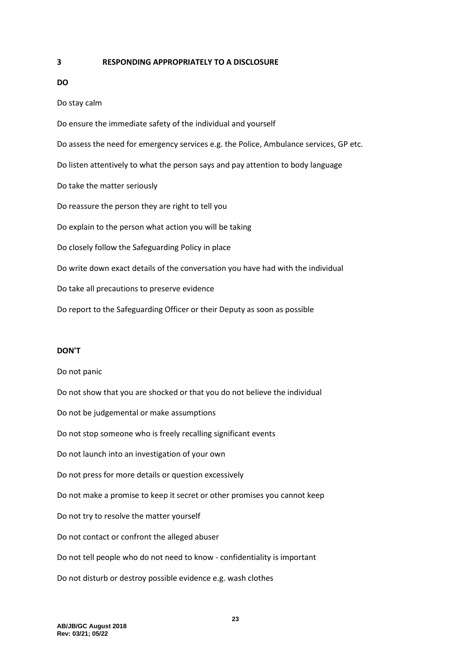#### <span id="page-22-0"></span>**3 RESPONDING APPROPRIATELY TO A DISCLOSURE**

# **DO**

Do stay calm

Do ensure the immediate safety of the individual and yourself Do assess the need for emergency services e.g. the Police, Ambulance services, GP etc. Do listen attentively to what the person says and pay attention to body language Do take the matter seriously Do reassure the person they are right to tell you Do explain to the person what action you will be taking Do closely follow the Safeguarding Policy in place Do write down exact details of the conversation you have had with the individual Do take all precautions to preserve evidence Do report to the Safeguarding Officer or their Deputy as soon as possible

#### **DON'T**

Do not panic Do not show that you are shocked or that you do not believe the individual Do not be judgemental or make assumptions Do not stop someone who is freely recalling significant events Do not launch into an investigation of your own Do not press for more details or question excessively Do not make a promise to keep it secret or other promises you cannot keep Do not try to resolve the matter yourself Do not contact or confront the alleged abuser Do not tell people who do not need to know - confidentiality is important Do not disturb or destroy possible evidence e.g. wash clothes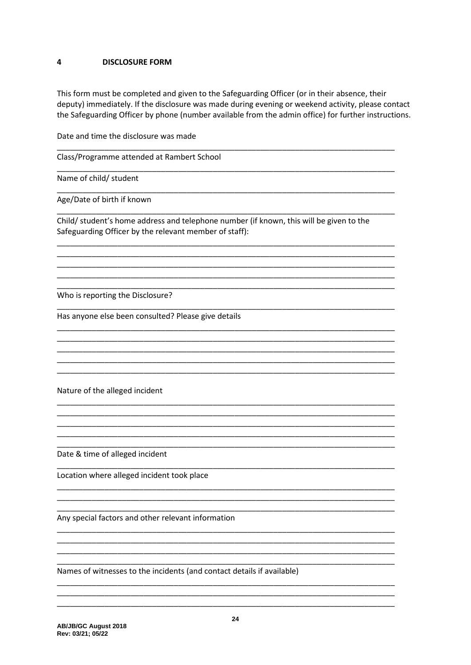#### <span id="page-23-0"></span> $\overline{\mathbf{4}}$ **DISCLOSURE FORM**

This form must be completed and given to the Safeguarding Officer (or in their absence, their deputy) immediately. If the disclosure was made during evening or weekend activity, please contact the Safeguarding Officer by phone (number available from the admin office) for further instructions.

Date and time the disclosure was made

Class/Programme attended at Rambert School

Name of child/ student

Age/Date of birth if known

Child/ student's home address and telephone number (if known, this will be given to the Safeguarding Officer by the relevant member of staff):

Who is reporting the Disclosure?

Has anyone else been consulted? Please give details

Nature of the alleged incident

Date & time of alleged incident

Location where alleged incident took place

Any special factors and other relevant information

Names of witnesses to the incidents (and contact details if available)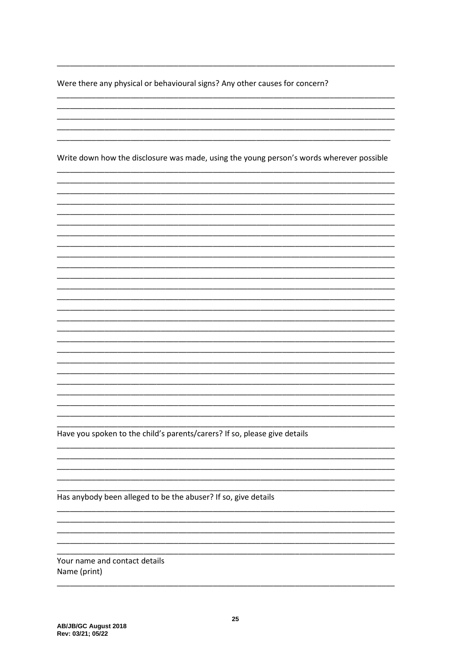Were there any physical or behavioural signs? Any other causes for concern?

Write down how the disclosure was made, using the young person's words wherever possible Have you spoken to the child's parents/carers? If so, please give details Has anybody been alleged to be the abuser? If so, give details

Your name and contact details Name (print)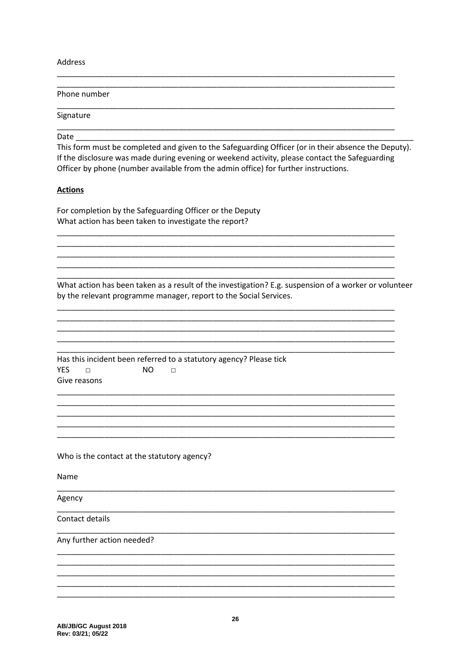Address

| Phone number                                                                                                                                                                                                                                                                                         |
|------------------------------------------------------------------------------------------------------------------------------------------------------------------------------------------------------------------------------------------------------------------------------------------------------|
| Signature                                                                                                                                                                                                                                                                                            |
| Date<br>This form must be completed and given to the Safeguarding Officer (or in their absence the Deputy).<br>If the disclosure was made during evening or weekend activity, please contact the Safeguarding<br>Officer by phone (number available from the admin office) for further instructions. |
| <b>Actions</b>                                                                                                                                                                                                                                                                                       |
| For completion by the Safeguarding Officer or the Deputy<br>What action has been taken to investigate the report?                                                                                                                                                                                    |
|                                                                                                                                                                                                                                                                                                      |
| What action has been taken as a result of the investigation? E.g. suspension of a worker or volunteer<br>by the relevant programme manager, report to the Social Services.                                                                                                                           |
| Has this incident been referred to a statutory agency? Please tick<br><b>YES</b><br>N <sub>O</sub><br>П<br>□<br>Give reasons                                                                                                                                                                         |
| Who is the contact at the statutory agency?                                                                                                                                                                                                                                                          |
| Name                                                                                                                                                                                                                                                                                                 |
| Agency                                                                                                                                                                                                                                                                                               |
| Contact details                                                                                                                                                                                                                                                                                      |
| Any further action needed?                                                                                                                                                                                                                                                                           |
|                                                                                                                                                                                                                                                                                                      |
|                                                                                                                                                                                                                                                                                                      |
|                                                                                                                                                                                                                                                                                                      |